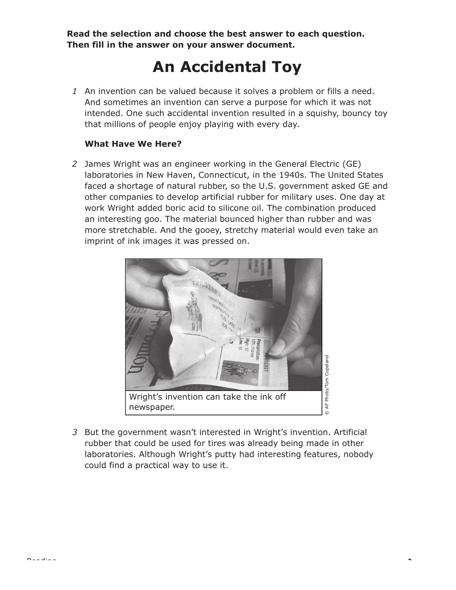**Read the selection and choose the best answer to each question. Then fill in the answer on your answer document.**

## **An Accidental Toy**

*1* An invention can be valued because it solves a problem or fills a need. And sometimes an invention can serve a purpose for which it was not intended. One such accidental invention resulted in a squishy, bouncy toy that millions of people enjoy playing with every day.

## **What Have We Here?**

*2* James Wright was an engineer working in the General Electric (GE) laboratories in New Haven, Connecticut, in the 1940s. The United States faced a shortage of natural rubber, so the U.S. government asked GE and other companies to develop artificial rubber for military uses. One day at work Wright added boric acid to silicone oil. The combination produced an interesting goo. The material bounced higher than rubber and was more stretchable. And the gooey, stretchy material would even take an imprint of ink images it was pressed on.



*3* But the government wasn't interested in Wright's invention. Artificial rubber that could be used for tires was already being made in other laboratories. Although Wright's putty had interesting features, nobody could find a practical way to use it.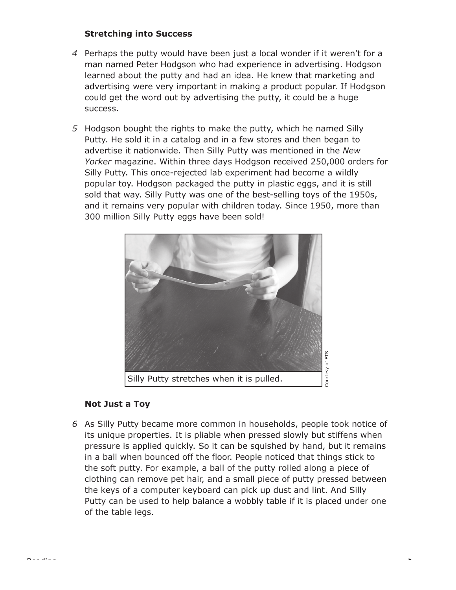## **Stretching into Success**

- *4* Perhaps the putty would have been just a local wonder if it weren't for a man named Peter Hodgson who had experience in advertising. Hodgson learned about the putty and had an idea. He knew that marketing and advertising were very important in making a product popular. If Hodgson could get the word out by advertising the putty, it could be a huge success.
- *5* Hodgson bought the rights to make the putty, which he named Silly Putty. He sold it in a catalog and in a few stores and then began to advertise it nationwide. Then Silly Putty was mentioned in the *New Yorker* magazine. Within three days Hodgson received 250,000 orders for Silly Putty. This once-rejected lab experiment had become a wildly popular toy. Hodgson packaged the putty in plastic eggs, and it is still sold that way. Silly Putty was one of the best-selling toys of the 1950s, and it remains very popular with children today. Since 1950, more than 300 million Silly Putty eggs have been sold!



## **Not Just a Toy**

Reading

*6* As Silly Putty became more common in households, people took notice of its unique properties. It is pliable when pressed slowly but stiffens when pressure is applied quickly. So it can be squished by hand, but it remains in a ball when bounced off the floor. People noticed that things stick to the soft putty. For example, a ball of the putty rolled along a piece of clothing can remove pet hair, and a small piece of putty pressed between the keys of a computer keyboard can pick up dust and lint. And Silly Putty can be used to help balance a wobbly table if it is placed under one of the table legs.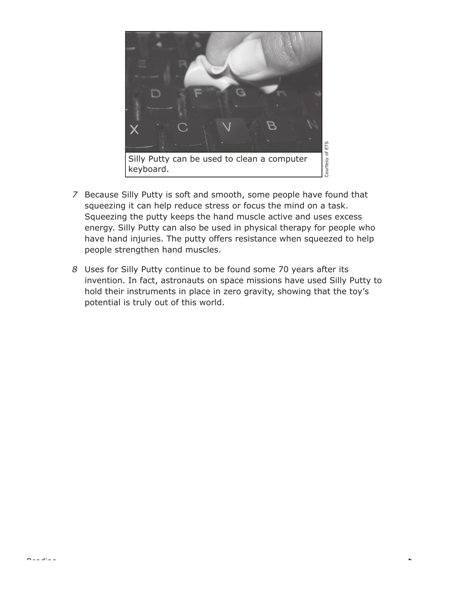

- *7* Because Silly Putty is soft and smooth, some people have found that squeezing it can help reduce stress or focus the mind on a task. Squeezing the putty keeps the hand muscle active and uses excess energy. Silly Putty can also be used in physical therapy for people who have hand injuries. The putty offers resistance when squeezed to help people strengthen hand muscles.
- *8* Uses for Silly Putty continue to be found some 70 years after its invention. In fact, astronauts on space missions have used Silly Putty to hold their instruments in place in zero gravity, showing that the toy's potential is truly out of this world.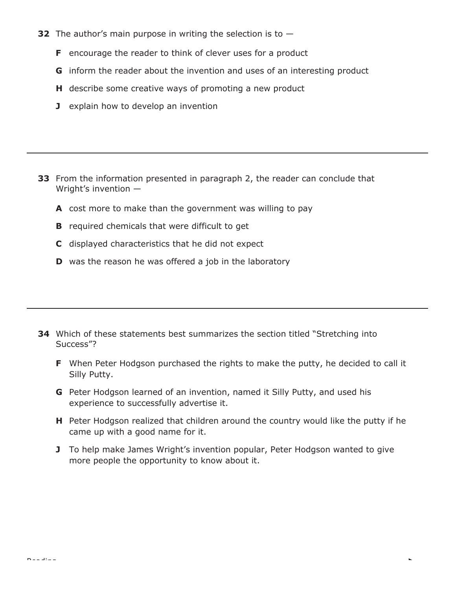- **32** The author's main purpose in writing the selection is to
	- **F** encourage the reader to think of clever uses for a product
	- **G** inform the reader about the invention and uses of an interesting product
	- **H** describe some creative ways of promoting a new product
	- **J** explain how to develop an invention

- **33** From the information presented in paragraph 2, the reader can conclude that Wright's invention —
	- **A** cost more to make than the government was willing to pay
	- **B** required chemicals that were difficult to get
	- **C** displayed characteristics that he did not expect
	- **D** was the reason he was offered a job in the laboratory

- **34** Which of these statements best summarizes the section titled "Stretching into Success"?
	- **F** When Peter Hodgson purchased the rights to make the putty, he decided to call it Silly Putty.
	- **G** Peter Hodgson learned of an invention, named it Silly Putty, and used his experience to successfully advertise it.
	- **H** Peter Hodgson realized that children around the country would like the putty if he came up with a good name for it.
	- **J** To help make James Wright's invention popular, Peter Hodgson wanted to give more people the opportunity to know about it.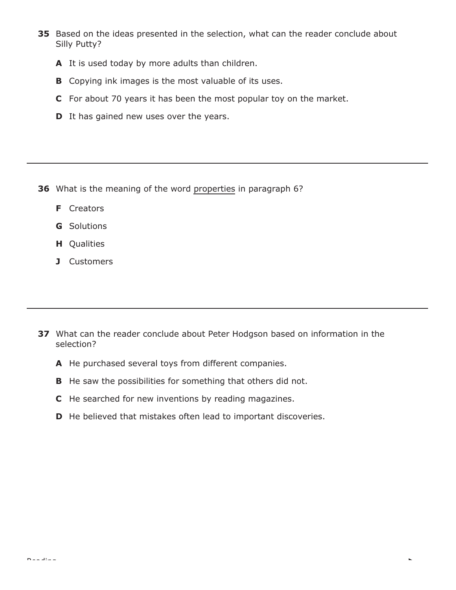- **35** Based on the ideas presented in the selection, what can the reader conclude about Silly Putty?
	- **A** It is used today by more adults than children.
	- **B** Copying ink images is the most valuable of its uses.
	- **C** For about 70 years it has been the most popular toy on the market.
	- **D** It has gained new uses over the years.

- **36** What is the meaning of the word properties in paragraph 6?
	- **F** Creators
	- **G** Solutions
	- **H** Qualities
	- **J** Customers

- **37** What can the reader conclude about Peter Hodgson based on information in the selection?
	- **A** He purchased several toys from different companies.
	- **B** He saw the possibilities for something that others did not.
	- **C** He searched for new inventions by reading magazines.
	- **D** He believed that mistakes often lead to important discoveries.